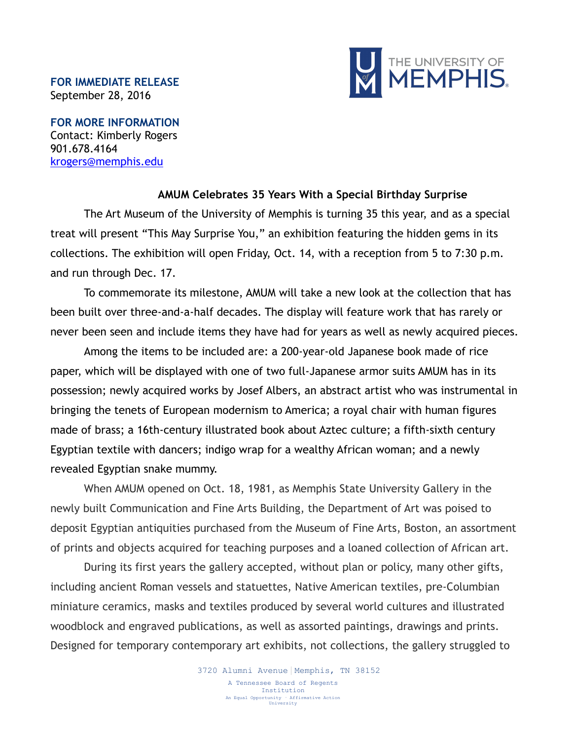## **FOR IMMEDIATE RELEASE** September 28, 2016



**FOR MORE INFORMATION** Contact: Kimberly Rogers 901.678.4164 [krogers@memphis.edu](mailto:krogers@memphis.edu)

## **AMUM Celebrates 35 Years With a Special Birthday Surprise**

The Art Museum of the University of Memphis is turning 35 this year, and as a special treat will present "This May Surprise You," an exhibition featuring the hidden gems in its collections. The exhibition will open Friday, Oct. 14, with a reception from 5 to 7:30 p.m. and run through Dec. 17.

To commemorate its milestone, AMUM will take a new look at the collection that has been built over three-and-a-half decades. The display will feature work that has rarely or never been seen and include items they have had for years as well as newly acquired pieces.

Among the items to be included are: a 200-year-old Japanese book made of rice paper, which will be displayed with one of two full-Japanese armor suits AMUM has in its possession; newly acquired works by Josef Albers, an abstract artist who was instrumental in bringing the tenets of European modernism to America; a royal chair with human figures made of brass; a 16th-century illustrated book about Aztec culture; a fifth-sixth century Egyptian textile with dancers; indigo wrap for a wealthy African woman; and a newly revealed Egyptian snake mummy.

When AMUM opened on Oct. 18, 1981, as Memphis State University Gallery in the newly built Communication and Fine Arts Building, the Department of Art was poised to deposit Egyptian antiquities purchased from the Museum of Fine Arts, Boston, an assortment of prints and objects acquired for teaching purposes and a loaned collection of African art.

During its first years the gallery accepted, without plan or policy, many other gifts, including ancient Roman vessels and statuettes, Native American textiles, pre-Columbian miniature ceramics, masks and textiles produced by several world cultures and illustrated woodblock and engraved publications, as well as assorted paintings, drawings and prints. Designed for temporary contemporary art exhibits, not collections, the gallery struggled to